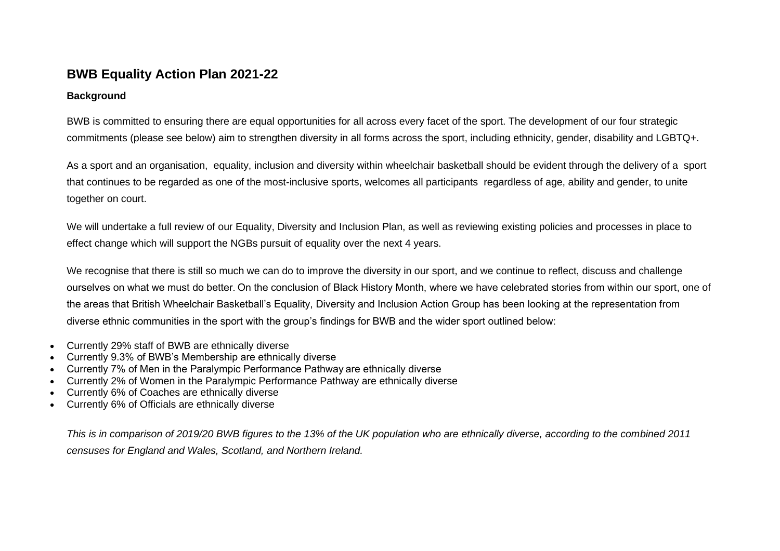## **BWB Equality Action Plan 2021-22**

## **Background**

BWB is committed to ensuring there are equal opportunities for all across every facet of the sport. The development of our four strategic commitments (please see below) aim to strengthen diversity in all forms across the sport, including ethnicity, gender, disability and LGBTQ+.

As a sport and an organisation, equality, inclusion and diversity within wheelchair basketball should be evident through the delivery of a sport that continues to be regarded as one of the most-inclusive sports, welcomes all participants regardless of age, ability and gender, to unite together on court.

We will undertake a full review of our Equality, Diversity and Inclusion Plan, as well as reviewing existing policies and processes in place to effect change which will support the NGBs pursuit of equality over the next 4 years.

We recognise that there is still so much we can do to improve the diversity in our sport, and we continue to reflect, discuss and challenge ourselves on what we must do better. On the conclusion of Black History Month, where we have celebrated stories from within our sport, one of the areas that British Wheelchair Basketball's Equality, Diversity and Inclusion Action Group has been looking at the representation from diverse ethnic communities in the sport with the group's findings for BWB and the wider sport outlined below:

- Currently 29% staff of BWB are ethnically diverse
- Currently 9.3% of BWB's Membership are ethnically diverse
- Currently 7% of Men in the Paralympic Performance Pathway are ethnically diverse
- Currently 2% of Women in the Paralympic Performance Pathway are ethnically diverse
- Currently 6% of Coaches are ethnically diverse
- Currently 6% of Officials are ethnically diverse

*This is in comparison of 2019/20 BWB figures to the 13% of the UK population who are ethnically diverse, according to the combined 2011 censuses for England and Wales, Scotland, and Northern Ireland.*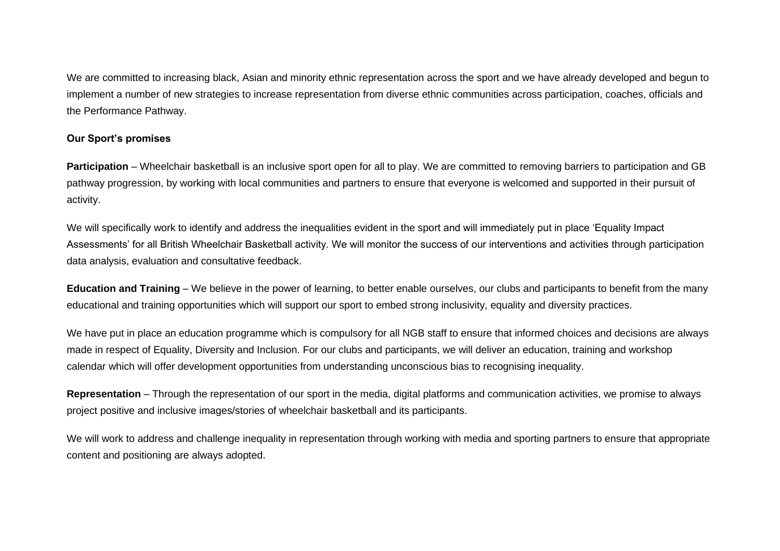We are committed to increasing black, Asian and minority ethnic representation across the sport and we have already developed and begun to implement a number of new strategies to increase representation from diverse ethnic communities across participation, coaches, officials and the Performance Pathway.

## **Our Sport's promises**

**Participation** – Wheelchair basketball is an inclusive sport open for all to play. We are committed to removing barriers to participation and GB pathway progression, by working with local communities and partners to ensure that everyone is welcomed and supported in their pursuit of activity.

We will specifically work to identify and address the inequalities evident in the sport and will immediately put in place 'Equality Impact Assessments' for all British Wheelchair Basketball activity. We will monitor the success of our interventions and activities through participation data analysis, evaluation and consultative feedback.

**Education and Training** – We believe in the power of learning, to better enable ourselves, our clubs and participants to benefit from the many educational and training opportunities which will support our sport to embed strong inclusivity, equality and diversity practices.

We have put in place an education programme which is compulsory for all NGB staff to ensure that informed choices and decisions are always made in respect of Equality, Diversity and Inclusion. For our clubs and participants, we will deliver an education, training and workshop calendar which will offer development opportunities from understanding unconscious bias to recognising inequality.

**Representation** – Through the representation of our sport in the media, digital platforms and communication activities, we promise to always project positive and inclusive images/stories of wheelchair basketball and its participants.

We will work to address and challenge inequality in representation through working with media and sporting partners to ensure that appropriate content and positioning are always adopted.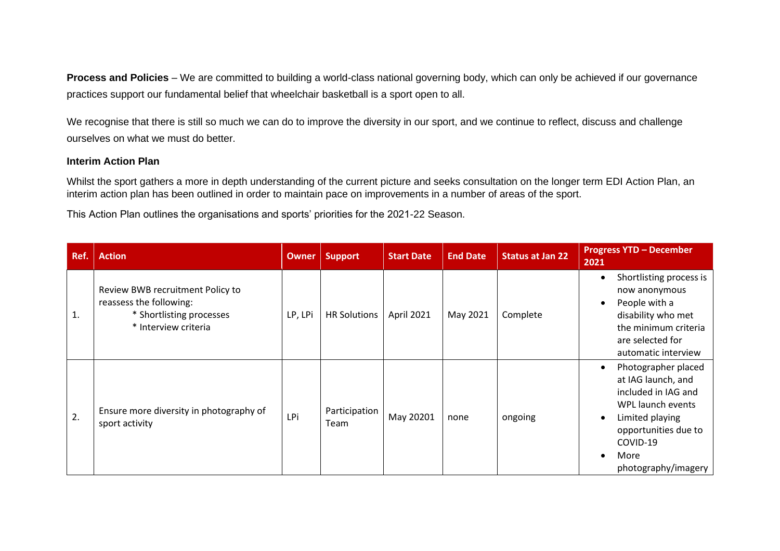**Process and Policies** – We are committed to building a world-class national governing body, which can only be achieved if our governance practices support our fundamental belief that wheelchair basketball is a sport open to all.

We recognise that there is still so much we can do to improve the diversity in our sport, and we continue to reflect, discuss and challenge ourselves on what we must do better.

## **Interim Action Plan**

Whilst the sport gathers a more in depth understanding of the current picture and seeks consultation on the longer term EDI Action Plan, an interim action plan has been outlined in order to maintain pace on improvements in a number of areas of the sport.

This Action Plan outlines the organisations and sports' priorities for the 2021-22 Season.

| Ref. | <b>Action</b>                                                                                                   | <b>Owner</b> | <b>Support</b>        | <b>Start Date</b> | <b>End Date</b> | <b>Status at Jan 22</b> | <b>Progress YTD - December</b><br>2021                                                                                                                                      |
|------|-----------------------------------------------------------------------------------------------------------------|--------------|-----------------------|-------------------|-----------------|-------------------------|-----------------------------------------------------------------------------------------------------------------------------------------------------------------------------|
| 1.   | Review BWB recruitment Policy to<br>reassess the following:<br>* Shortlisting processes<br>* Interview criteria | LP, LPi      | <b>HR Solutions</b>   | April 2021        | May 2021        | Complete                | Shortlisting process is<br>now anonymous<br>People with a<br>disability who met<br>the minimum criteria<br>are selected for<br>automatic interview                          |
| 2.   | Ensure more diversity in photography of<br>sport activity                                                       | LPi          | Participation<br>Team | May 20201         | none            | ongoing                 | Photographer placed<br>at IAG launch, and<br>included in IAG and<br>WPL launch events<br>Limited playing<br>opportunities due to<br>COVID-19<br>More<br>photography/imagery |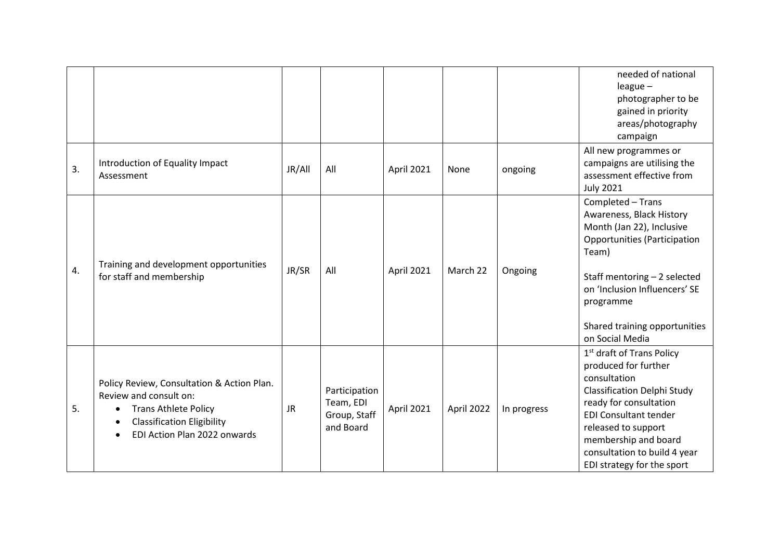|    |                                                                                                                                                                                       |           |                                                         |            |            |             | needed of national<br>$league -$<br>photographer to be<br>gained in priority<br>areas/photography<br>campaign                                                                                                                                                                              |
|----|---------------------------------------------------------------------------------------------------------------------------------------------------------------------------------------|-----------|---------------------------------------------------------|------------|------------|-------------|--------------------------------------------------------------------------------------------------------------------------------------------------------------------------------------------------------------------------------------------------------------------------------------------|
| 3. | Introduction of Equality Impact<br>Assessment                                                                                                                                         | JR/All    | All                                                     | April 2021 | None       | ongoing     | All new programmes or<br>campaigns are utilising the<br>assessment effective from<br><b>July 2021</b>                                                                                                                                                                                      |
| 4. | Training and development opportunities<br>for staff and membership                                                                                                                    | JR/SR     | All                                                     | April 2021 | March 22   | Ongoing     | Completed - Trans<br>Awareness, Black History<br>Month (Jan 22), Inclusive<br><b>Opportunities (Participation</b><br>Team)<br>Staff mentoring $-2$ selected<br>on 'Inclusion Influencers' SE<br>programme<br>Shared training opportunities<br>on Social Media                              |
| 5. | Policy Review, Consultation & Action Plan.<br>Review and consult on:<br><b>Trans Athlete Policy</b><br>$\bullet$<br><b>Classification Eligibility</b><br>EDI Action Plan 2022 onwards | <b>JR</b> | Participation<br>Team, EDI<br>Group, Staff<br>and Board | April 2021 | April 2022 | In progress | 1 <sup>st</sup> draft of Trans Policy<br>produced for further<br>consultation<br><b>Classification Delphi Study</b><br>ready for consultation<br><b>EDI Consultant tender</b><br>released to support<br>membership and board<br>consultation to build 4 year<br>EDI strategy for the sport |